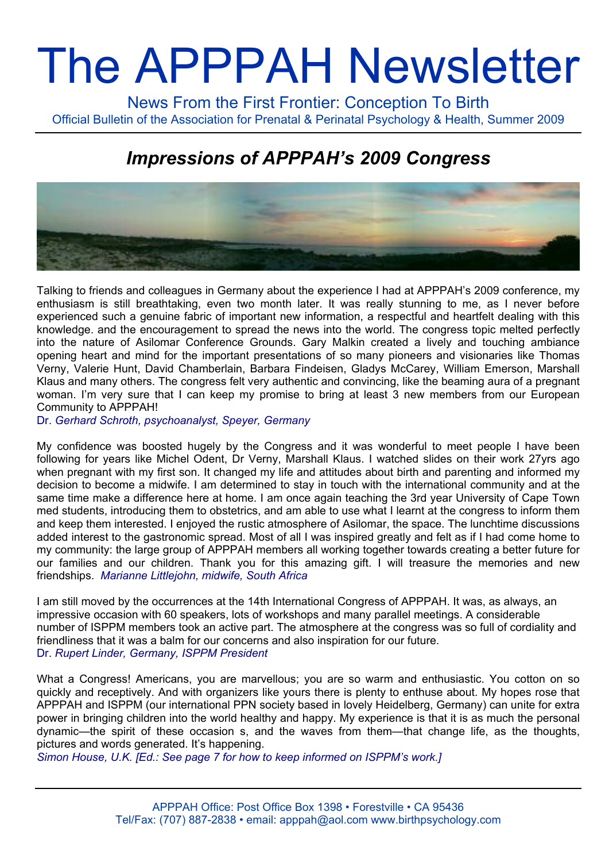# The APPPAH Newsletter

News From the First Frontier: Conception To Birth Official Bulletin of the Association for Prenatal & Perinatal Psychology & Health, Summer 2009

## *Impressions of APPPAH's 2009 Congress*



Talking to friends and colleagues in Germany about the experience I had at APPPAH's 2009 conference, my enthusiasm is still breathtaking, even two month later. It was really stunning to me, as I never before experienced such a genuine fabric of important new information, a respectful and heartfelt dealing with this knowledge. and the encouragement to spread the news into the world. The congress topic melted perfectly into the nature of Asilomar Conference Grounds. Gary Malkin created a lively and touching ambiance opening heart and mind for the important presentations of so many pioneers and visionaries like Thomas Verny, Valerie Hunt, David Chamberlain, Barbara Findeisen, Gladys McCarey, William Emerson, Marshall Klaus and many others. The congress felt very authentic and convincing, like the beaming aura of a pregnant woman. I'm very sure that I can keep my promise to bring at least 3 new members from our European Community to APPPAH!

Dr. *Gerhard Schroth, psychoanalyst, Speyer, Germany*

My confidence was boosted hugely by the Congress and it was wonderful to meet people I have been following for years like Michel Odent, Dr Verny, Marshall Klaus. I watched slides on their work 27yrs ago when pregnant with my first son. It changed my life and attitudes about birth and parenting and informed my decision to become a midwife. I am determined to stay in touch with the international community and at the same time make a difference here at home. I am once again teaching the 3rd year University of Cape Town med students, introducing them to obstetrics, and am able to use what I learnt at the congress to inform them and keep them interested. I enjoyed the rustic atmosphere of Asilomar, the space. The lunchtime discussions added interest to the gastronomic spread. Most of all I was inspired greatly and felt as if I had come home to my community: the large group of APPPAH members all working together towards creating a better future for our families and our children. Thank you for this amazing gift. I will treasure the memories and new friendships. *Marianne Littlejohn, midwife, South Africa*

I am still moved by the occurrences at the 14th International Congress of APPPAH. It was, as always, an impressive occasion with 60 speakers, lots of workshops and many parallel meetings. A considerable number of ISPPM members took an active part. The atmosphere at the congress was so full of cordiality and friendliness that it was a balm for our concerns and also inspiration for our future. Dr. *Rupert Linder, Germany, ISPPM President* 

What a Congress! Americans, you are marvellous; you are so warm and enthusiastic. You cotton on so quickly and receptively. And with organizers like yours there is plenty to enthuse about. My hopes rose that APPPAH and ISPPM (our international PPN society based in lovely Heidelberg, Germany) can unite for extra power in bringing children into the world healthy and happy. My experience is that it is as much the personal dynamic—the spirit of these occasion s, and the waves from them—that change life, as the thoughts, pictures and words generated. It's happening.

*Simon House, U.K. [Ed.: See page 7 for how to keep informed on ISPPM's work.]*